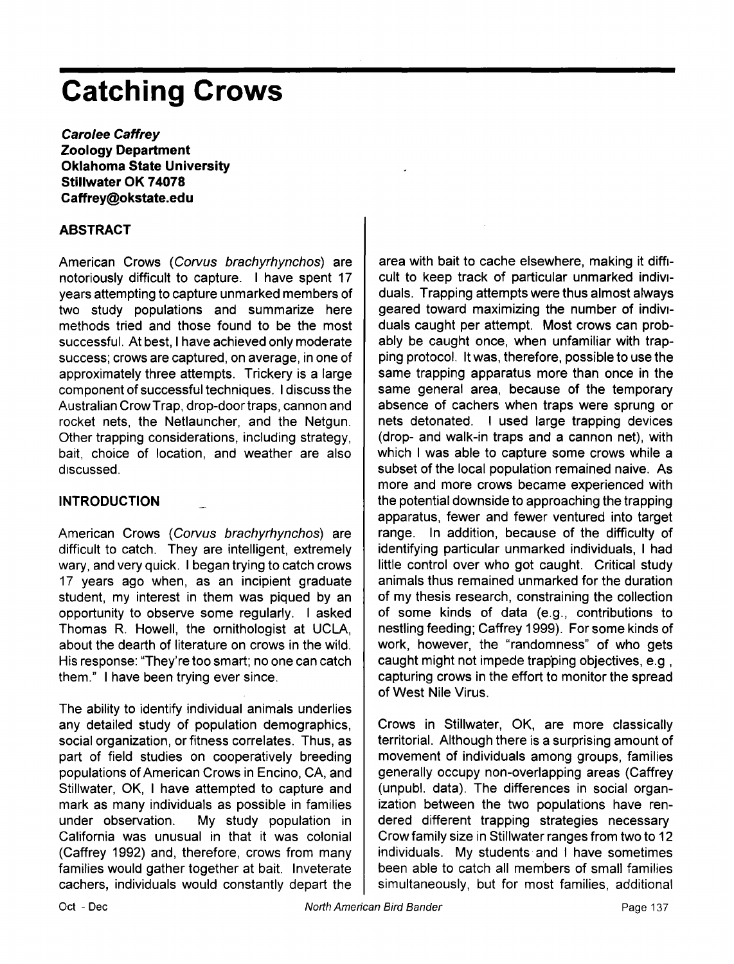# **Catching Crows**

**Carolee Caffrey Zoology Department Oklahoma State University Stillwater OK 74078 Caffrey@okstate.edu** 

#### **ABSTRACT**

**American Crows (Corvus brachyrhynchos) are notoriously difficult to capture. I have spent 17 years attempting to capture unmarked members of two study populations and summarize here methods tried and those found to be the most successful. At best, I have achieved only moderate success; crows are captured, on average, in one of approximately three attempts. Trickery is a large component of successful techniques. I discuss the Australian CrowTrap, drop-door traps, cannon and rocket nets, the Netlauncher, and the Netgun. Other trapping considerations, including strategy, bait, choice of location, and weather are also discussed.** 

#### **INTRODUCTION**

**American Crows (Corvus brachyrhynchos) are difficult to catch. They are intelligent, extremely wary, and very quick. I began trying to catch crows 17 years ago when, as an incipient graduate student, my interest in them was piqued by an opportunity to observe some regularly. I asked Thomas R. Howell, the ornithologist at UCLA, about the dearth of literature on crows in the wild. His response: "They're too smart; no one can catch them." I have been trying ever since.** 

**The ability to identify individual animals underlies any detailed study of population demographics, social organization, or fitness correlates. Thus, as part of field studies on cooperatively breeding populations of American Crows in Encino, CA, and Stillwater, OK, I have attempted to capture and mark as many individuals as possible in families under observation. My study population in California was unusual in that it was colonial (Caffrey 1992) and, therefore, crows from many families would gather together at bait. Inveterate cachers, individuals would constantly depart the** 

**area with bait to cache elsewhere, making it difficult to keep track of particular unmarked indiwduals. Trapping attempts were thus almost always geared toward maximizing the number of indiwduals caught per attempt. Most crows can probably be caught once, when unfamiliar with trapping protocol. It was, therefore, possible to use the same trapping apparatus more than once in the same general area, because of the temporary absence of cachers when traps were sprung or nets detonated. I used large trapping devices (drop- and walk-in traps and a cannon net), with which I was able to capture some crows while a subset of the local population remained naive. As more and more crows became experienced with the potential downside to approaching the trapping apparatus, fewer and fewer ventured into target range. In addition, because of the difficulty of identifying particular unmarked individuals, I had little control over who got caught. Critical study animals thus remained unmarked for the duration of my thesis research, constraining the collection of some kinds of data (e.g., contributions to nestling feeding; Caffrey 1999). For some kinds of work, however, the "randomness" of who gets caught might not impede trap'ping objectives, e.g, capturing crows in the effort to monitor the spread of West Nile Virus.** 

**Crows in Stillwater, OK, are more classically territorial. Although there is a surprising amount of movement of individuals among groups, families generally occupy non-overlapping areas (Caffrey (unpubl. data). The differences in social organization between the two populations have rendered different trapping strategies necessary Crow family size in Stillwater ranges from two to 12 individuals. My students and I have sometimes been able to catch all members of small families simultaneously, but for most families, additional**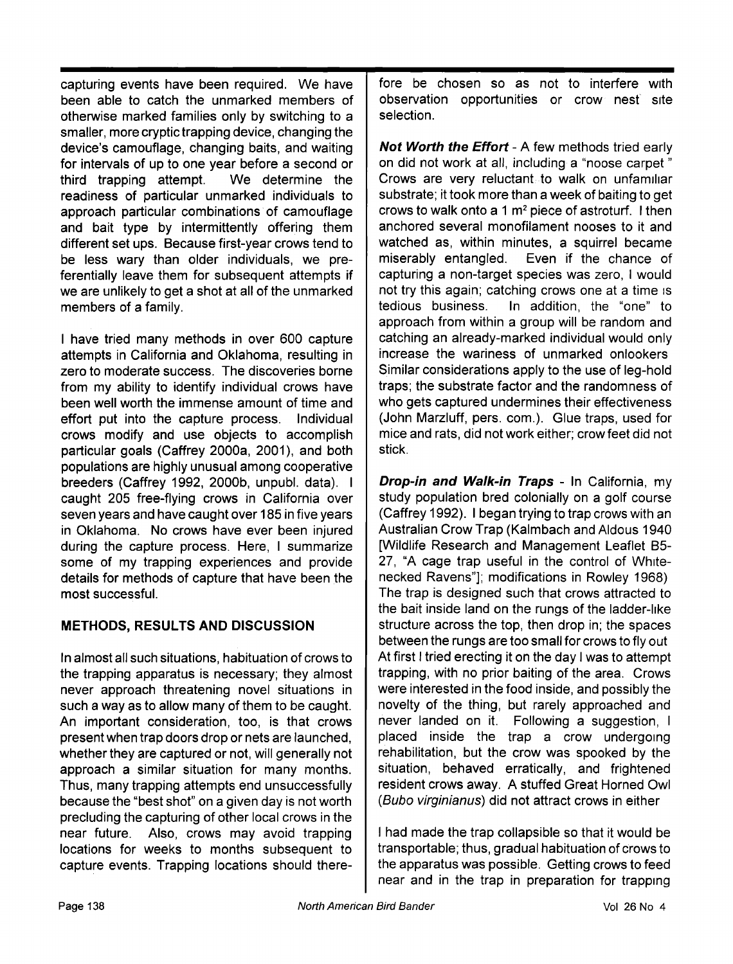**capturing events have been required. We have been able to catch the unmarked members of otherwise marked families only by switching to a**  smaller, more cryptic trapping device, changing the **device's camouflage, changing baits, and waiting for intervals of up to one year before a second or**  third trapping attempt. **readiness of particular unmarked individuals to approach particular combinations of camouflage and bait type by intermittently offering them different set ups. Because first-year crows tend to be less wary than older individuals, we preferentially leave them for subsequent attempts if we are unlikely to get a shot at all of the unmarked members of a family.** 

**I have tried many methods in over 600 capture attempts in California and Oklahoma, resulting in zero to moderate success. The discoveries borne from my ability to identify individual crows have been well worth the immense amount of time and effort put into the capture process. Individual crows modify and use objects to accomplish particular goals (Caffrey 2000a, 2001), and both populations are highly unusual among cooperative breeders (Caffrey 1992, 2000b, unpubl. data). I caught 205 free-flying crows in California over seven years and have caught over 185 in five years in Oklahoma. No crows have ever been injured during the capture process. Here, I summarize some of my trapping experiences and provide details for methods of capture that have been the most successful.** 

## **METHODS, RESULTS AND DISCUSSION**

**In almost all such situations, habituation of crows to the trapping apparatus is necessary; they almost never approach threatening novel situations in such a way as to allow many of them to be caught. An important consideration, too, is that crows present when trap doors drop or nets are launched, whether they are captured or not, will generally not approach a similar situation for many months. Thus, many trapping attempts end unsuccessfully because the "best shot" on a given day is not worth precluding the capturing of other local crows in the near future. Also, crows may avoid trapping locations for weeks to months subsequent to capture events. Trapping locations should there-** fore be chosen so as not to interfere with **observation opportunities or crow nest s•te selection.** 

**Not Worth the Effort - A few methods tried early on did not work at all, including a "noose carpet"**  Crows are very reluctant to walk on unfamiliar **substrate; it took more than a week of baiting to get**  crows to walk onto a 1 m<sup>2</sup> piece of astroturf. I then **anchored several monofilament nooses to it and watched as, within minutes, a squirrel became**  Even if the chance of **capturing a non-target species was zero, I would**  not try this again; catching crows one at a time is **tedious** business. In addition, the "one" to In addition, the "one" to **approach from within a group will be random and catching an already-marked individual would only increase the wariness of unmarked onlookers Similar considerations apply to the use of leg-hold traps; the substrate factor and the randomness of who gets captured undermines their effectiveness (John Marzluff, pers. com.). Glue traps, used for mice and rats, did not work either; crow feet did not stick.** 

**Drop-in and Walk-in Traps - In California, my study population bred colonially on a golf course (Caffrey 1992). I began trying to trap crows with an Australian Crow Trap (Kalmbach and Aldous 1940 [Wildlife Research and Management Leaflet B5-**  27, "A cage trap useful in the control of White**necked Ravens"]; modifications in Rowley 1968) The trap is designed such that crows attracted to the bait inside land on the rungs of the ladder-like structure across the top, then drop in; the spaces between the rungs are too small for crows to fly out At first I tried erecting it on the day I was to attempt trapping, with no prior baiting of the area. Crows were interested in the food inside, and possibly the novelty of the thing, but rarely approached and never landed on it. Following a suggestion, I placed inside the trap a crow undergoing rehabilitation, but the crow was spooked by the situation, behaved erratically, and frightened resident crows away. A stuffed Great Horned Owl (Bubo virginianus) did not attract crows in either** 

**I had made the trap collapsible so that it would be transportable; thus, gradual habituation of crows to the apparatus was possible. Getting crows to feed near and in the trap in preparation for trapping**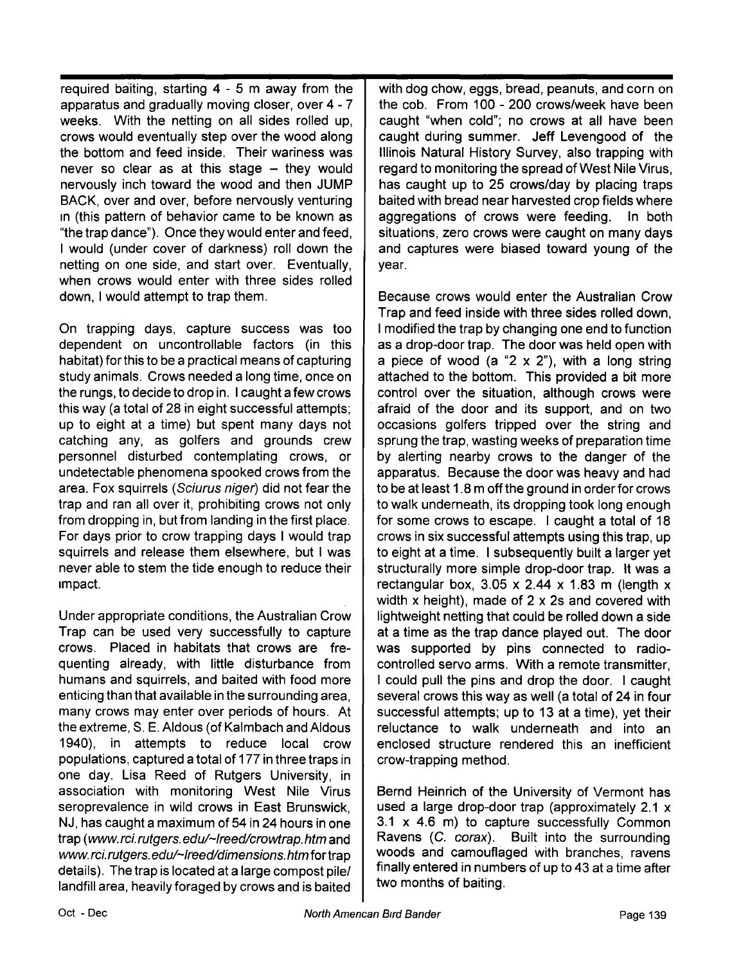**required baiting, starting 4 - 5 m away from the apparatus and gradually moving closer, over 4 - 7 weeks. With the netting on all sides rolled up, crows would eventually step over the wood along the bottom and feed inside. Their wariness was**  never so clear as at this stage - they would **nervously inch toward the wood and then JUMP BACK, over and over, before nervously venturing •n (this pattern of behavior came to be known as "the trap dance"). Once they would enter and feed, I would (under cover of darkness) roll down the netting on one side, and start over. Eventually, when crows would enter with three sides rolled down, I would attempt to trap them.** 

**On trapping days, capture success was too dependent on uncontrollable factors (in this habitat) for this to be a practical means of capturing study animals. Crows needed a long time, once on the rungs, to decide to drop in. I caught a few crows this way (a total of 28 in eight successful attempts; up to eight at a time) but spent many days not catching any, as golfers and grounds crew personnel disturbed contemplating crows, or undetectable phenomena spooked crows from the area. Fox squirrels (Sciurus niger) did not fear the trap and ran all over it, prohibiting crows not only from dropping in, but from landing in the first place. For days prior to crow trapping days I would trap squirrels and release them elsewhere, but I was never 'able to stem the tide enough to reduce their •mpact.** 

**Under appropriate conditions, the Australian Crow Trap can be used very successfully to capture crows. Placed in habitats that crows are frequenting already, with little disturbance from humans and squirrels, and baited with food more enticing than that available in the surrounding area, many crows may enter over periods of hours. At the extreme, S. E. Aldous (of Kalmbach and Aldous 1940), in attempts to reduce local crow populations, captured a total of 177 in three traps in one day. Lisa Reed of Rutgers University, in association with monitoring West Nile Virus seroprevalence in wild crows in East Brunswick, N J, has caught a maximum of 54 in 24 hours in one**  trap (www.rci.rutgers.edu/~lreed/crowtrap.htm and www.rci.rutgers.edu/~lreed/dimensions.htm for trap **details). The trap is located at a large compost pile/ landfill area, heavily foraged by crows and is baited** 

**with dog chow, eggs, bread, peanuts, and corn on the cob. From 100 - 200 crows/week have been caught "when cold"; no crows at all have been caught during summer. Jeff Levengood of the Illinois Natural History Survey, also trapping with regard to monitoring the spread of West Nile Virus, has caught up to 25 crows/day by placing traps baited with bread near harvested crop fields where aggregations of crows were feeding. In both situations, zero crows were caught on many days and captures were biased toward young of the year.** 

**Because crows would enter the Australian Crow Trap and feed inside with three sides rolled down, I modified the trap by changing one end to function as a drop-door trap. The door was held open with a piece of wood (a "2 x 2"), with a long string attached to the bottom. This provided a bit more control over the situation, although crows were afraid of the door and its support, and on two occasions golfers tripped over the string and sprung the trap, wasting weeks of preparation time by alerting nearby crows to the danger of the apparatus. Because the door was heavy and had to be at least 1.8 m off the ground in order for crows to walk underneath, its dropping took long enough for some crows to escape. I caught a total of 18 crows in six successful attempts using this trap, up to eight at a time. I subsequently built a larger yet structurally more simple drop-door trap. It was a rectangular box, 3.05 x 2.44 x 1.83 m (length x width x height), made of 2 x 2s and covered with lightweight netting that could be rolled down a side at a time as the trap dance played out. The door was supported by pins connected to radiocontrolled servo arms. With a remote transmitter, I could pull the pins and drop the door. I caught several crows this way as well (a total of 24 in four successful attempts; up to 13 at a time), yet their reluctance to walk underneath and into an enclosed structure rendered this an inefficient crow-trapping method.** 

**Bernd Heinrich of the University of Vermont has used a large drop-door trap (approximately 2.1 x 3.1 x 4.6 m) to capture successfully Common**  Built into the surrounding **woods and camouflaged with branches, ravens finally entered in numbers of up to 43 at a time after two months of baiting.**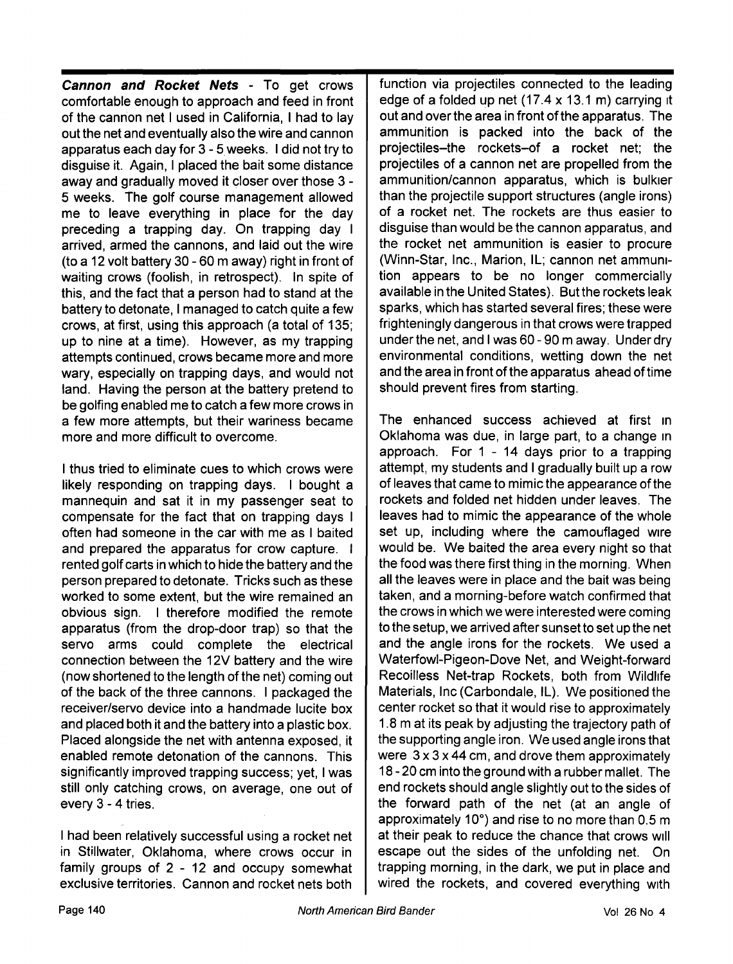**Cannon and Rocket Nets - To get crows comfortable enough to approach and feed in front of the cannon net I used in California, I had to lay out the net and eventually also the wire and cannon apparatus each day for 3 - 5 weeks. I did not try to disguise it. Again, I placed the bait some distance away and gradually moved it closer over those 3 - 5 weeks. The golf course management allowed me to leave everything in place for the day preceding a trapping day. On trapping day I arrived, armed the cannons, and laid out the wire (to a 12 volt battery 30 - 60 m away) right in front of waiting crows (foolish, in retrospect). In spite of this, and the fact that a person had to stand at the battery to detonate, I managed to catch quite a few crows, at first, using this approach (a total of 135; up to nine at a time). However, as my trapping attempts continued, crows became more and more wary, especially on trapping days, and would not land. Having the person at the battery pretend to be golfing enabled me to catch a few more crows in a few more attempts, but their wariness became more and more difficult to overcome.** 

**I thus tried to eliminate cues to which crows were likely responding on trapping days. I bought a mannequin and sat it in my passenger seat to compensate for the fact that on trapping days I often had someone in the car with me as I baited and prepared the apparatus for crow capture. I rented golf carts in which to hide the battery and the person prepared to detonate. Tricks such as these worked to some extent, but the wire remained an obvious sign. I therefore modified the remote apparatus (from the drop-door trap) so that the servo arms could complete the electrical connection between the 12V battery and the wire (now shortened to the length of the net) coming out of the back of the three cannons. I packaged the receiver/servo device into a handmade lucite box and placed both it and the battery into a plastic box. Placed alongside the net with antenna exposed, it enabled remote detonation of the cannons. This significantly improved trapping success; yet, I was still only catching crows, on average, one out of every 3 - 4 tries.** 

**I had been relatively successful using a rocket net in Stillwater, Oklahoma, where crows occur in family groups of 2 - 12 and occupy somewhat exclusive territories. Cannon and rocket nets both** 

**function via projectiles connected to the leading edge of a folded up net (17.4 x 13.1 m) carrying it out and over the area in front of the apparatus. The ammunition is packed into the back of the projectiles-the rockets-of a rocket net; the projectiles of a cannon net are propelled from the**  ammunition/cannon apparatus, which is bulkier **than the projectile support structures (angle irons) of a rocket net. The rockets are thus easier to disguise than would be the cannon apparatus, and the rocket net ammunition is easier to procure (Winn-Star, Inc., Marion, IL; cannon net ammunition appears to be no longer commercially available in the United States). But the rockets leak sparks, which has started several fires; these were frighteningly dangerous in that crows were trapped under the net, and I was 60 - 90 m away. Under dry environmental conditions, wetting down the net and the area in front of the apparatus ahead of time should prevent fires from starting.** 

The enhanced success achieved at first in Oklahoma was due, in large part, to a change in **approach. For 1 - 14 days prior to a trapping attempt, my students and I gradually built up a row of leaves that came to mimic the appearance of the rockets and folded net hidden under leaves. The leaves had to mimic the appearance of the whole set up, including where the camouflaged wire would be. We baited the area every night so that the food was there first thing in the morning. When all the leaves were in place and the bait was being taken, and a morning-before watch confirmed that the crows in which we were interested were coming to the setup, we arrived after sunset to set up the net and the angle irons for the rockets. We used a Waterfowl-Pigeon-Dove Net, and Weight-forward Recoilless Net-trap Rockets, both from Wildhfe Materials, Inc (Carbondale, IL). We positioned the center rocket so that it would rise to approximately 1.8 m at its peak by adjusting the trajectory path of the supporting angle iron. We used angle irons that were 3 x 3 x 44 cm, and drove them approximately 18 - 20 cm into the ground with a rubber mallet. The end rockets should angle slightly out to the sides of the forward path of the net (at an angle of**  approximately 10°) and rise to no more than 0.5 m **at their peak to reduce the chance that crows wdl escape out the sides of the unfolding net. On trapping morning, in the dark, we put in place and**  wired the rockets, and covered everything with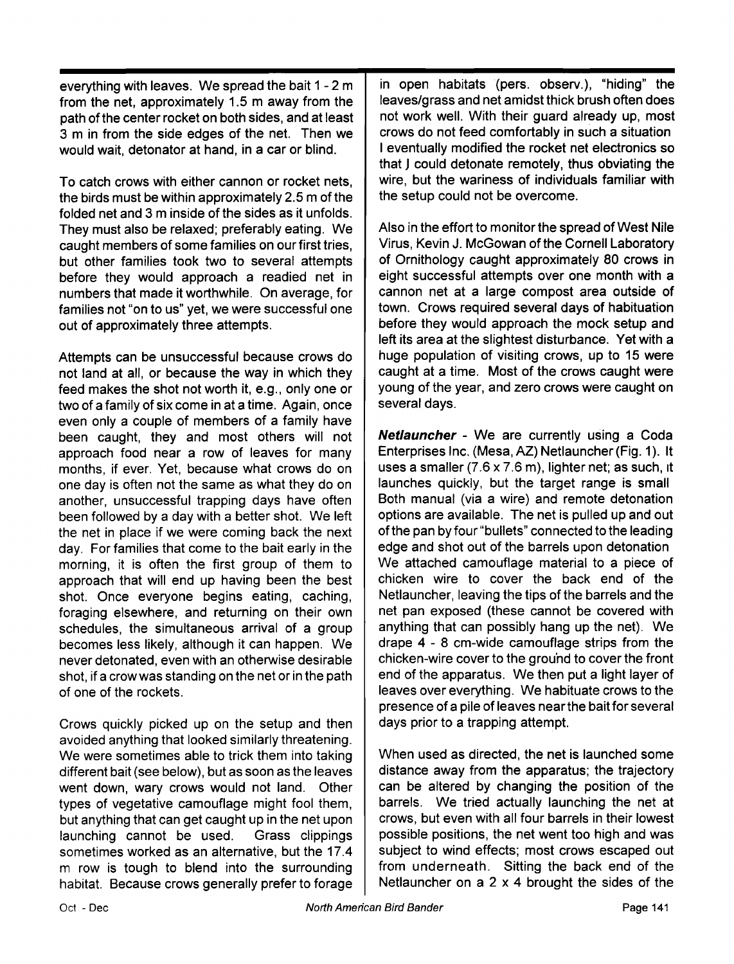**everything with leaves. We spread the bait 1 - 2 m from the net, approximately 1.5 m away from the path of the center rocket on both sides, and at least 3 m in from the side edges of the net. Then we would wait, detonator at hand, in a car or blind.** 

**To catch crows with either cannon or rocket nets, the birds must be within approximately 2.5 m of the folded net and 3 m inside of the sides as it unfolds. They must also be relaxed; preferably eating. We caught members of some families on our first tries, but other families took two to several attempts before they would approach a readied net in numbers that made it worthwhile. On average, for families not "on to us" yet, we were successful one out of approximately three attempts.** 

**Attempts can be unsuccessful because crows do not land at all, or because the way in which they feed makes the shot not worth it, e.g., only one or two of a family of six come in at a time. Again, once even only a couple of members of a family have been caught, they and most others will not approach food near a row of leaves for many months, if ever. Yet, because what crows do on one day is often not the same as what they do on another, unsuccessful trapping days have often been followed by a day with a better shot. We left the net in place if we were coming back the next day. For families that come to the bait early in the morning, it is often the first group of them to approach that will end up having been the best shot. Once everyone begins eating, caching, foraging elsewhere, and returning on their own schedules, the simultaneous arrival of a group becomes less likely, although it can happen. We never detonated, even with an otherwise desirable shot, if a crow was standing on the net or in the path of one of the rockets.** 

**Crows quickly picked up on the setup and then avoided anything that looked similarly threatening. We were sometimes able to trick them into taking different bait (see below), but as soon as the leaves went down, wary crows would not land. Other types of vegetative camouflage might fool them, but anything that can get caught up in the net upon**  launching cannot be used. **sometimes worked as an alternative, but the 17.4 m row is tough to blend into the surrounding habitat. Because crows generally prefer to forage**  **in open habitats (pers. observ.), "hiding" the leaves/grass and net amidst thick brush often does not work well. With their guard already up, most crows do not feed comfortably in such a situation I eventually modified the rocket net electronics so that J could detonate remotely, thus obviating the wire, but the wariness of individuals familiar with the setup could not be overcome.** 

**Also in the effort to monitor the spread of West Nile Virus, Kevin J. McGowan of the Cornell Laboratory of Ornithology caught approximately 80 crows in eight successful attempts over one month with a cannon net at a large compost area outside of town. Crows required several days of habituation before they would approach the mock setup and left its area at the slightest disturbance. Yet with a huge population of visiting crows, up to 15 were caught at a time. Most of the crows caught were young of the year, and zero crows were caught on several days.** 

**Netlauncher- We are currently using a Coda Enterprises Inc. (Mesa, AZ) Netlauncher (Fig. 1). It uses a smaller (7.6 x 7.6 m), lighter net; as such, •t launches quickly, but the target range is small Both manual (via a wire) and remote detonation options are available. The net is pulled up and out of the pan by four"bullets" connected to the leading edge and shot out of the barrels upon detonation We attached camouflage material to a piece of chicken wire to cover the back end of the Netlauncher, leaving the tips of the barrels and the net pan exposed (these cannot be covered with anything that can possibly hang up the net). We drape 4 - 8 cm-wide camouflage strips from the chicken-wire cover to the grou'nd to cover the front end of the apparatus. We then put a light layer of leaves over everything. We habituate crows to the presence of a pile of leaves near the bait for several days prior to a trapping attempt.** 

**When used as directed, the net is launched some distance away from the apparatus; the trajectory can be altered by changing the position of the barrels. We tried actually launching the net at crows, but even with all four barrels in their lowest possible positions, the net went too high and was subject to wind effects; most crows escaped out from underneath. Sitting the back end of the Netlauncher on a 2 x 4 brought the sides of the**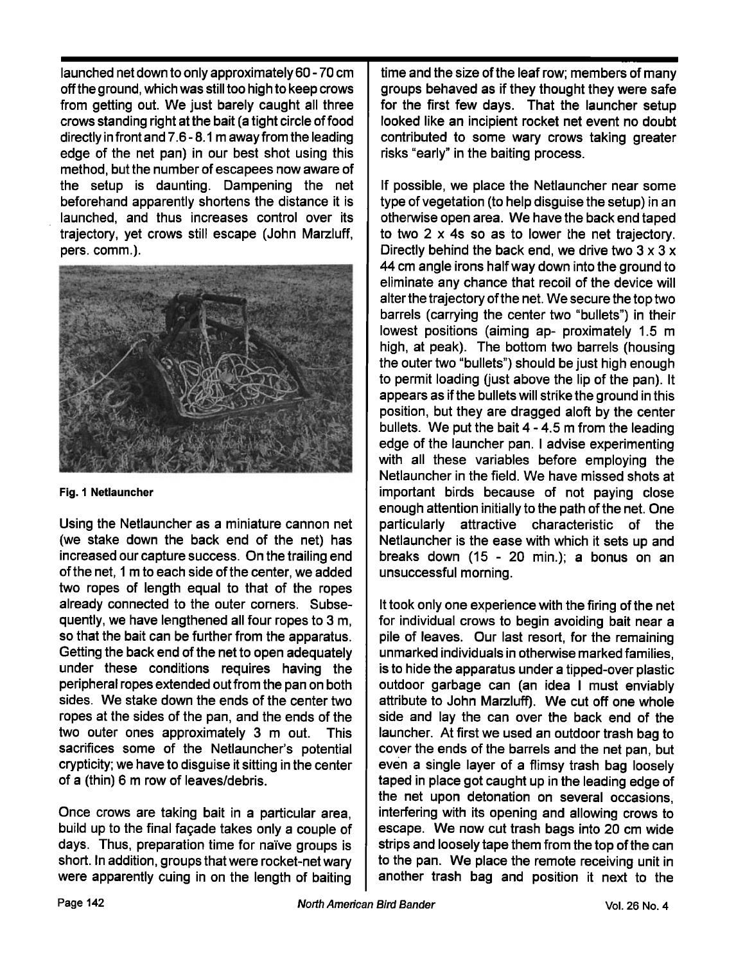**launched net down to only approximately 60 - 70 cm off the ground, which was still too high to keep crows from getting out. We just barely caught all three**  crows standing right at the bait (a tight circle of food **directly in front and 7.6- 8.1 m away from the leading edge of the net pan) in our best shot using this method, but the number of escapees now aware of the setup is daunting. Dampening the net beforehand apparently shortens the distance it is launched, and thus increases control over its trajectory, yet crows still escape (John Marzluff, pers. comm.).** 



**Fig. 1 Netlauncher** 

**Using the Netlauncher as a miniature cannon net (we stake down the back end of the net) has increased our capture success. On the trailing end of the net, 1 m to each side of the center, we added two ropes of length equal to that of the ropes already connected to the outer corners. Subsequently, we have lengthened all four ropes to 3 m, so that the bait can be further from the apparatus. Getting the back end of the net to open adequately under these conditions requires having the peripheral ropes extended out from the pan on both sides. We stake down the ends of the center two ropes at the sides of the pan, and the ends of the**  two outer ones approximately 3 m out. **sacrifices some of the Netlauncher's potential crypticity; we have to disguise it sitting in the center of a (thin) 6 m row of leaves/debris.** 

**Once crows are taking bait in a particular area,**  build up to the final facade takes only a couple of days. Thus, preparation time for naïve groups is **short. In addition, groups that were rocket-net wary were apparently cuing in on the length of baiting** 

**time and the size of the leaf row; members of many groups behaved as if they thought they were safe for the first few days. That the launcher setup looked like an incipient rocket net event no doubt contributed to some wary crows taking greater risks "early" in the baiting process.** 

**If possible, we place the Netlauncher near some type of vegetation (to help disguise the setup) in an otherwise open area. We have the back end taped to two 2 x 4s so as to lower the net trajectory.**  Directly behind the back end, we drive two 3 x 3 x **44 cm angle irons halfway down into the ground to eliminate any chance that recoil of the device will alter the trajectory of the net. We secure the top two barrels (carrying the center two "bullets") in their lowest positions (aiming ap- proximately 1.5 m high, at peak). The bottom two barrels (housing the outer two "bullets") should be just high enough to permit loading (just above the lip of the pan). It appears as if the bullets will strike the ground in this position, but they are dragged aloft by the center bullets. We put the bait 4 - 4.5 m from the leading edge of the launcher pan. I advise experimenting with all these variables before employing the Netlauncher in the field. We have missed shots at important birds because of not paying close enough attention initially to the path of the net. One particularly attractive characteristic of the Netlauncher is the ease with which it sets up and breaks down (15 - 20 min.); a bonus on an unsuccessful morning.** 

**It took only one experience with the firing of the net for individual crows to begin avoiding bait near a pile of leaves. Our last resort, for the remaining unmarked individuals in otherwise marked families, is to hide the apparatus under a tipped-over plastic outdoor garbage can (an idea I must enviably attribute to John Marzluff). We cut off one whole side and lay the can over the back end of the launcher. At first we used an outdoor trash bag to cover the ends of the barrels and the net pan, but even a single layer of a flimsy trash bag loosely taped in place got caught up in the leading edge of the net upon detonation on several occasions, interfering with its opening and allowing crows to escape. We now cut trash bags into 20 cm wide**  strips and loosely tape them from the top of the can **to the pan. We place the remote receiving unit in another trash bag and position it next to the**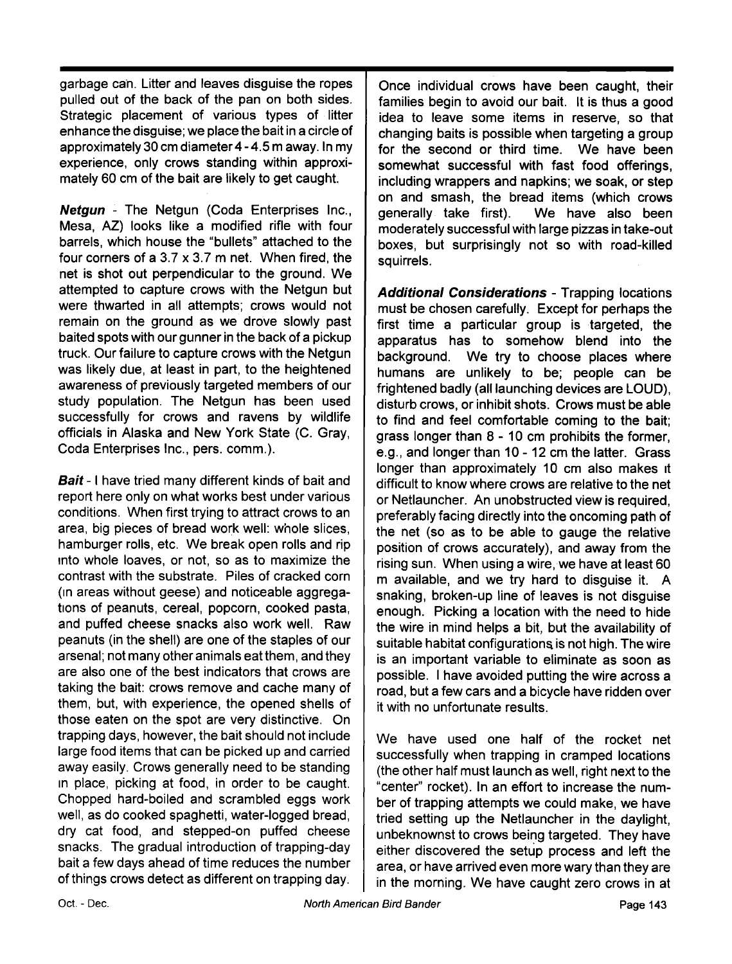**garbage can. Litter and leaves disguise the ropes pulled out of the back of the pan on both sides. Strategic placement of various types of litter enhance the disguise; we place the bait in a circle of approximately 30 cm diameter 4 - 4.5 m away. In my experience, only crows standing within approximately 60 cm of the bait are likely to get caught.** 

**Netgun - The Netgun (Coda Enterprises Inc., Mesa, AZ) looks like a modified rifle with four barrels, which house the "bullets" attached to the four corners of a 3.7 x 3.7 m net. When fired, the net is shot out perpendicular to the ground. We attempted to capture crows with the Netgun but were thwarted in all attempts; crows would not remain on the ground as we drove slowly past baited spots with our gunner in the back of a pickup truck. Our failure to capture crows with the Netgun was likely due, at least in part, to the heightened awareness of previously targeted members of our study population. The Netgun has been used successfully for crows and ravens by wildlife officials in Alaska and New York State (C. Gray, Coda Enterprises Inc., pers. comm.).** 

**Bait- I have tried many different kinds of bait and report here only on what works best under various conditions. When first trying to attract crows to an area, big pieces of bread work well: whole slices, hamburger rolls, etc. We break open rolls and rip •nto whole loaves, or not, so as to maximize the contrast with the substrate. Piles of cracked corn (•n areas without geese) and noticeable aggregations of peanuts, cereal, popcorn, cooked pasta, and puffed cheese snacks also work well. Raw peanuts (in the shell) are one of the staples of our arsenal; not many other animals eat them, and they are also one of the best indicators that crows are taking the bait: crows remove and cache many of them, but, with experience, the opened shells of those eaten on the spot are very distinctive. On trapping days, however, the bait should not include large food items that can be picked up and carried away easily. Crows generally need to be standing in place, picking at food, in order to be caught. Chopped hard-boiled and scrambled eggs work well, as do cooked spaghetti, water-logged bread, dry cat food, and stepped-on puffed cheese snacks. The gradual introduction of trapping-day bait a few days ahead of time reduces the number of things crows detect as different on trapping day.** 

**Once individual crows have been caught, their families begin to avoid our bait. It is thus a good idea to leave some items in reserve, so that changing baits is possible when targeting a group for the second or third time. We have been somewhat successful with fast food offerings, including wrappers and napkins; we soak, or step on and smash, the bread items (which crows**  We have also been **moderately successful with large pizzas in take-out boxes, but surprisingly not so with road-killed squirrels.** 

**Additional Considerations - Trapping locations must be chosen carefully. Except for perhaps the**  first time a particular group is targeted, the **apparatus has to somehow blend into the background. We try to choose places where humans are unlikely to be; people can be frightened badly (all launching devices are LOUD), disturb crows, or inhibit shots. Crows must be able to find and feel comfortable coming to the bait; grass longer than 8 - 10 cm prohibits the former, e.g., and longer than 10- 12 cm the latter. Grass**  longer than approximately 10 cm also makes it **difficult to know where crows are relative to the net or Netlauncher. An unobstructed view is required, preferably facing directly into the oncoming path of the net (so as to be able to gauge the relative position of crows accurately), and away from the rising sun. When using a wire, we have at least 60 m available, and we try hard to disguise it. A snaking, broken-up line of leaves is not disguise enough. Picking a location with the need to hide the wire in mind helps a bit, but the availability of suitable habitat configurations. is not high. The wire is an important variable to eliminate as soon as possible. I have avoided putting the wire across a road, but a few cars and a bicycle have ridden over it with no unfortunate results.** 

**We have used one half of the rocket net successfully when trapping in cramped locations (the other half must launch as well, right next to the "center" rocket). In an effort to increase the number of trapping attempts we could make, we have tried setting up the Netlauncher in the daylight,**  unbeknownst to crows being targeted. They have **either discovered the setup process and left the area, or have arrived even more wary than they are in the morning. We have caught zero crows in at**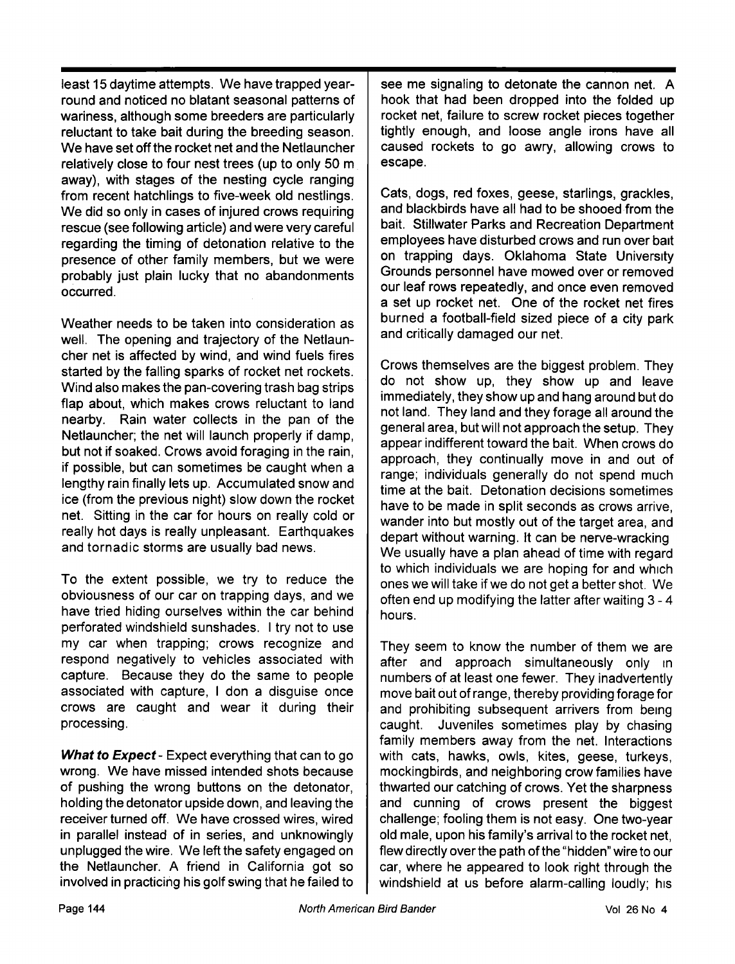**least 15 daytime attempts. We have trapped yearround and noticed no blatant seasonal patterns of wariness, although some breeders are particularly reluctant to take bait during the breeding season. We have set off the rocket net and the Netlauncher relatively close to four nest trees (up to only 50 m away), with stages of the nesting cycle ranging from recent hatchlings to five-week old nestlings. We did so only in cases of injured crows requiring rescue (see following article) and were very careful regarding the timing of detonation relative to the presence of other family members, but we were probably just plain lucky that no abandonments occurred.** 

**Weather needs to be taken into consideration as well. The opening and trajectory of the Netlauncher net is affected by wind, and wind fuels fires started by the falling sparks of rocket net rockets. Wind also makes the pan-covering trash bag strips flap about, which makes crows reluctant to land nearby. Rain water collects in the pan of the Netlauncher; the net will launch properly if damp, but not if soaked. Crows avoid foraging in the rain, if possible, but can sometimes be caught when a lengthy rain finally lets up. Accumulated snow and ice (from the previous night) slow down the rocket net. Sitting in the car for hours on really cold or really hot days is really unpleasant. Earthquakes and tornadic storms are usually bad news.** 

**To the extent possible, we try to reduce the obviousness of our car on trapping days, and we have tried hiding ourselves within the car behind periorated windshield sunshades. I try not to use my car when trapping; crows recognize and respond negatively to vehicles associated with capture. Because they do the same to people associated with capture, I don a disguise once crows are caught and wear it during their processing.** 

**What to Expect- Expect everything that can to go wrong. We have missed intended shots because of pushing the wrong buttons on the detonator, holding the detonator upside down, and leaving the receiver turned off. We have crossed wires, wired in parallel instead of in series, and unknowingly unplugged the wire. We left the safety engaged on the Netlauncher. A friend in California got so involved in practicing his golf swing that he failed to** 

**see me signaling to detonate the cannon net. A hook that had been dropped into the folded up rocket net, failure to screw rocket pieces together tightly enough, and loose angle irons have all caused rockets to go awry, allowing crows to escape.** 

**Cats, dogs, red foxes, geese, starlings, grackles, and blackbirds have all had to be shooed from the bait. Stillwater Parks and Recreation Department**  employees have disturbed crows and run over bait **on trapping days. Oklahoma State University Grounds personnel have mowed over or removed our leaf rows repeatedly, and once even removed a set up rocket net. One of the rocket net fires burned a football-field sized piece of a city park and critically damaged our net.** 

**Crows themselves are the biggest problem. They do not show up, they show up and leave immediately, they show up and hang around but do not land. They land and they forage all around the general area, but will not approach the setup. They appear indifferent toward the bait. When crows do approach, they continually move in and out of range; individuals generally do not spend much time at the bait. Detonation decisions sometimes have to be made in split seconds as crows arrive, wander into but mostly out of the target area, and depart without warning. It can be nerve-wracking We usually have a plan ahead of time with regard to which individuals we are hoping for and which ones we will take if we do not get a better shot. We often end up modifying the latter after waiting 3 - 4 hours.** 

**They seem to know the number of them we are**  after and approach simultaneously only in **numbers of at least one fewer. They inadvertently move bait out of range, thereby providing forage for and prohibiting subsequent arrivers from being caught. Juveniles sometimes play by chasing family members away from the net. Interactions with cats, hawks, owls, kites, geese, turkeys, mockingbirds, and neighboring crow families have thwarted our catching of crows. Yet the sharpness and cunning of crows present the biggest challenge; fooling them is not easy. One two-year old male, upon his family's arrival to the rocket net, flew directly over the path of the "hidden" wire to our car, where he appeared to look right through the**  windshield at us before alarm-calling loudly; his